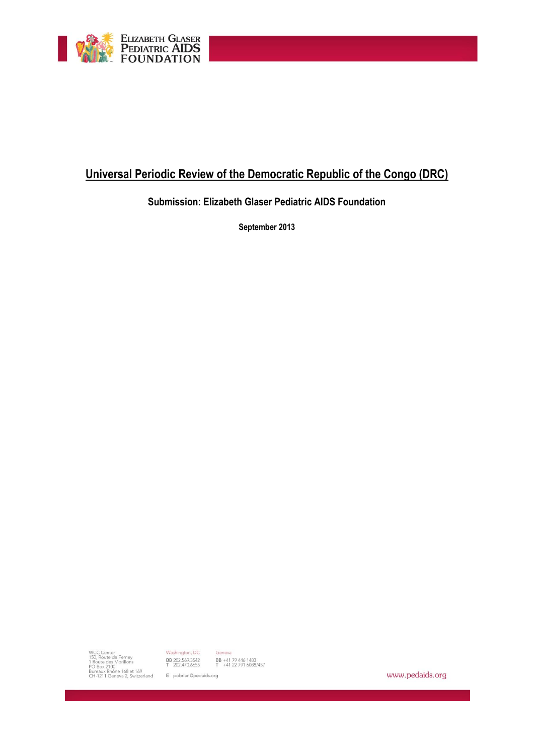

# **Universal Periodic Review of the Democratic Republic of the Congo (DRC)**

# **Submission: Elizabeth Glaser Pediatric AIDS Foundation**

**September 2013**

www.pedaids.org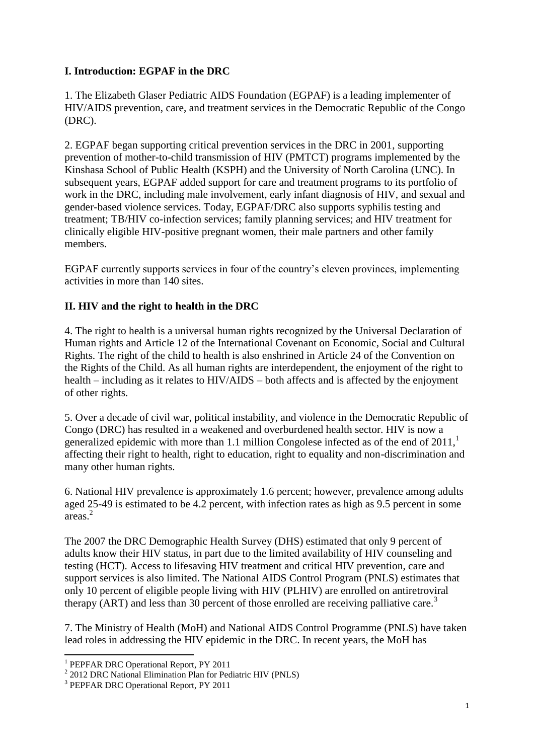# **I. Introduction: EGPAF in the DRC**

1. The Elizabeth Glaser Pediatric AIDS Foundation (EGPAF) is a leading implementer of HIV/AIDS prevention, care, and treatment services in the Democratic Republic of the Congo (DRC).

2. EGPAF began supporting critical prevention services in the DRC in 2001, supporting prevention of mother-to-child transmission of HIV (PMTCT) programs implemented by the Kinshasa School of Public Health (KSPH) and the University of North Carolina (UNC). In subsequent years, EGPAF added support for care and treatment programs to its portfolio of work in the DRC, including male involvement, early infant diagnosis of HIV, and sexual and gender-based violence services. Today, EGPAF/DRC also supports syphilis testing and treatment; TB/HIV co-infection services; family planning services; and HIV treatment for clinically eligible HIV-positive pregnant women, their male partners and other family members.

EGPAF currently supports services in four of the country's eleven provinces, implementing activities in more than 140 sites.

## **II. HIV and the right to health in the DRC**

4. The right to health is a universal human rights recognized by the Universal Declaration of Human rights and Article 12 of the International Covenant on Economic, Social and Cultural Rights. The right of the child to health is also enshrined in Article 24 of the Convention on the Rights of the Child. As all human rights are interdependent, the enjoyment of the right to health – including as it relates to HIV/AIDS – both affects and is affected by the enjoyment of other rights.

5. Over a decade of civil war, political instability, and violence in the Democratic Republic of Congo (DRC) has resulted in a weakened and overburdened health sector. HIV is now a generalized epidemic with more than 1.1 million Congolese infected as of the end of  $2011$ , affecting their right to health, right to education, right to equality and non-discrimination and many other human rights.

6. National HIV prevalence is approximately 1.6 percent; however, prevalence among adults aged 25-49 is estimated to be 4.2 percent, with infection rates as high as 9.5 percent in some areas.<sup>2</sup>

The 2007 the DRC Demographic Health Survey (DHS) estimated that only 9 percent of adults know their HIV status, in part due to the limited availability of HIV counseling and testing (HCT). Access to lifesaving HIV treatment and critical HIV prevention, care and support services is also limited. The National AIDS Control Program (PNLS) estimates that only 10 percent of eligible people living with HIV (PLHIV) are enrolled on antiretroviral therapy (ART) and less than 30 percent of those enrolled are receiving palliative care.<sup>3</sup>

7. The Ministry of Health (MoH) and National AIDS Control Programme (PNLS) have taken lead roles in addressing the HIV epidemic in the DRC. In recent years, the MoH has

 1 PEPFAR DRC Operational Report, PY 2011

<sup>&</sup>lt;sup>2</sup> 2012 DRC National Elimination Plan for Pediatric HIV (PNLS)

<sup>&</sup>lt;sup>3</sup> PEPFAR DRC Operational Report, PY 2011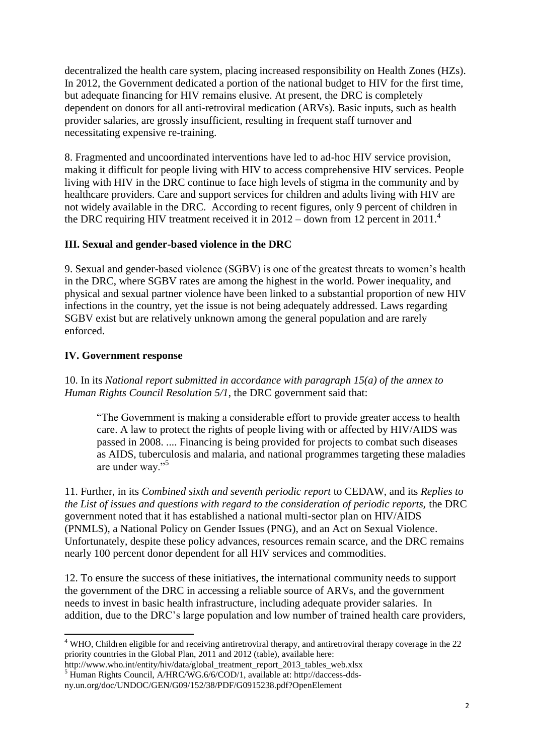decentralized the health care system, placing increased responsibility on Health Zones (HZs). In 2012, the Government dedicated a portion of the national budget to HIV for the first time, but adequate financing for HIV remains elusive. At present, the DRC is completely dependent on donors for all anti-retroviral medication (ARVs). Basic inputs, such as health provider salaries, are grossly insufficient, resulting in frequent staff turnover and necessitating expensive re-training.

8. Fragmented and uncoordinated interventions have led to ad-hoc HIV service provision, making it difficult for people living with HIV to access comprehensive HIV services. People living with HIV in the DRC continue to face high levels of stigma in the community and by healthcare providers. Care and support services for children and adults living with HIV are not widely available in the DRC. According to recent figures, only 9 percent of children in the DRC requiring HIV treatment received it in  $2012 -$  down from 12 percent in  $2011<sup>4</sup>$ 

#### **III. Sexual and gender-based violence in the DRC**

9. Sexual and gender-based violence (SGBV) is one of the greatest threats to women's health in the DRC, where SGBV rates are among the highest in the world. Power inequality, and physical and sexual partner violence have been linked to a substantial proportion of new HIV infections in the country, yet the issue is not being adequately addressed. Laws regarding SGBV exist but are relatively unknown among the general population and are rarely enforced.

#### **IV. Government response**

1

10. In its *National report submitted in accordance with paragraph 15(a) of the annex to Human Rights Council Resolution 5/1*, the DRC government said that:

"The Government is making a considerable effort to provide greater access to health care. A law to protect the rights of people living with or affected by HIV/AIDS was passed in 2008. .... Financing is being provided for projects to combat such diseases as AIDS, tuberculosis and malaria, and national programmes targeting these maladies are under way."<sup>5</sup>

11. Further, in its *Combined sixth and seventh periodic report* to CEDAW, and its *Replies to the List of issues and questions with regard to the consideration of periodic reports,* the DRC government noted that it has established a national multi-sector plan on HIV/AIDS (PNMLS), a National Policy on Gender Issues (PNG), and an Act on Sexual Violence. Unfortunately, despite these policy advances, resources remain scarce, and the DRC remains nearly 100 percent donor dependent for all HIV services and commodities.

12. To ensure the success of these initiatives, the international community needs to support the government of the DRC in accessing a reliable source of ARVs, and the government needs to invest in basic health infrastructure, including adequate provider salaries. In addition, due to the DRC's large population and low number of trained health care providers,

 $4$  WHO, Children eligible for and receiving antiretroviral therapy, and antiretroviral therapy coverage in the 22 priority countries in the Global Plan, 2011 and 2012 (table), available here:

http://www.who.int/entity/hiv/data/global\_treatment\_report\_2013\_tables\_web.xlsx <sup>5</sup> Human Rights Council, A/HRC/WG.6/6/COD/1, available at: http://daccess-dds-

ny.un.org/doc/UNDOC/GEN/G09/152/38/PDF/G0915238.pdf?OpenElement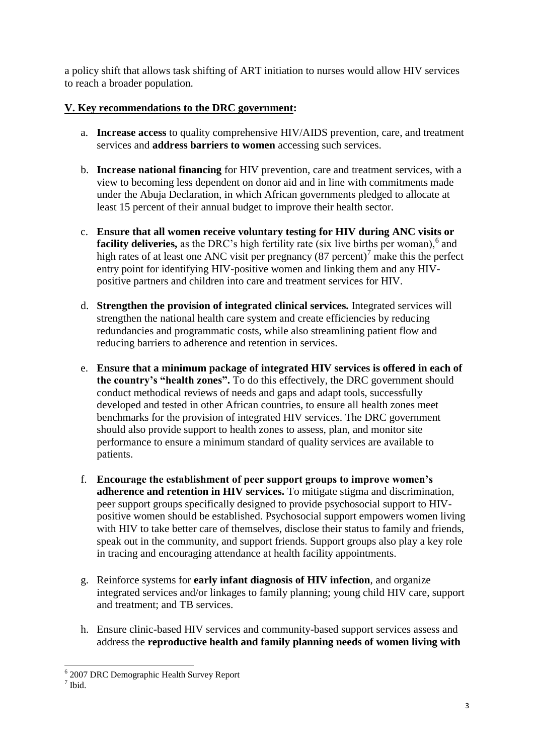a policy shift that allows task shifting of ART initiation to nurses would allow HIV services to reach a broader population.

## **V. Key recommendations to the DRC government:**

- a. **Increase access** to quality comprehensive HIV/AIDS prevention, care, and treatment services and **address barriers to women** accessing such services.
- b. **Increase national financing** for HIV prevention, care and treatment services, with a view to becoming less dependent on donor aid and in line with commitments made under the Abuja Declaration, in which African governments pledged to allocate at least 15 percent of their annual budget to improve their health sector.
- c. **Ensure that all women receive voluntary testing for HIV during ANC visits or**  facility deliveries, as the DRC's high fertility rate (six live births per woman),<sup>6</sup> and high rates of at least one ANC visit per pregnancy  $(87 \text{ percent})^7$  make this the perfect entry point for identifying HIV-positive women and linking them and any HIVpositive partners and children into care and treatment services for HIV.
- d. **Strengthen the provision of integrated clinical services.** Integrated services will strengthen the national health care system and create efficiencies by reducing redundancies and programmatic costs, while also streamlining patient flow and reducing barriers to adherence and retention in services.
- e. **Ensure that a minimum package of integrated HIV services is offered in each of the country's "health zones".** To do this effectively, the DRC government should conduct methodical reviews of needs and gaps and adapt tools, successfully developed and tested in other African countries, to ensure all health zones meet benchmarks for the provision of integrated HIV services. The DRC government should also provide support to health zones to assess, plan, and monitor site performance to ensure a minimum standard of quality services are available to patients.
- f. **Encourage the establishment of peer support groups to improve women's adherence and retention in HIV services.** To mitigate stigma and discrimination, peer support groups specifically designed to provide psychosocial support to HIVpositive women should be established. Psychosocial support empowers women living with HIV to take better care of themselves, disclose their status to family and friends, speak out in the community, and support friends. Support groups also play a key role in tracing and encouraging attendance at health facility appointments.
- g. Reinforce systems for **early infant diagnosis of HIV infection**, and organize integrated services and/or linkages to family planning; young child HIV care, support and treatment; and TB services.
- h. Ensure clinic-based HIV services and community-based support services assess and address the **reproductive health and family planning needs of women living with**

 6 2007 DRC Demographic Health Survey Report

<sup>7</sup> Ibid.